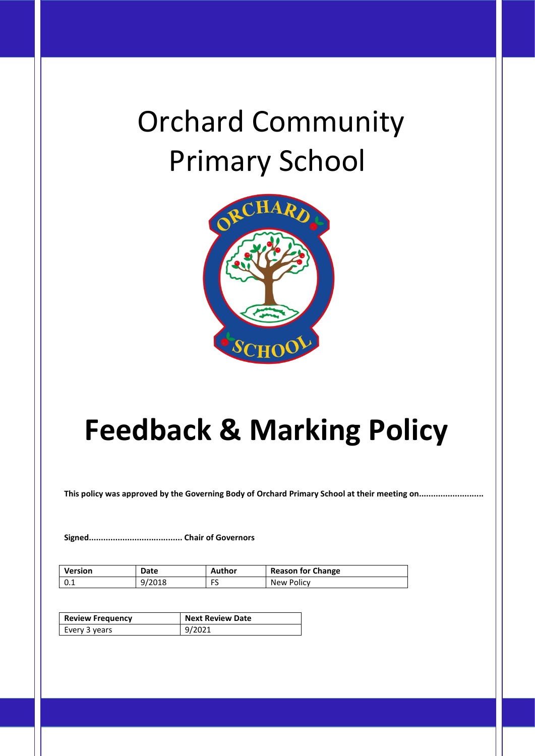# Orchard Community Primary School



## **Feedback & Marking Policy**

**This policy was approved by the Governing Body of Orchard Primary School at their meeting on...........................**

**Signed....................................... Chair of Governors**

| Version | Date   | Author | <b>Reason for Change</b> |
|---------|--------|--------|--------------------------|
| 0.1     | 9/2018 | ر.     | New Policy               |

| <b>Review Frequency</b> | <b>Next Review Date</b> |
|-------------------------|-------------------------|
| Every 3 years           | 9/2021                  |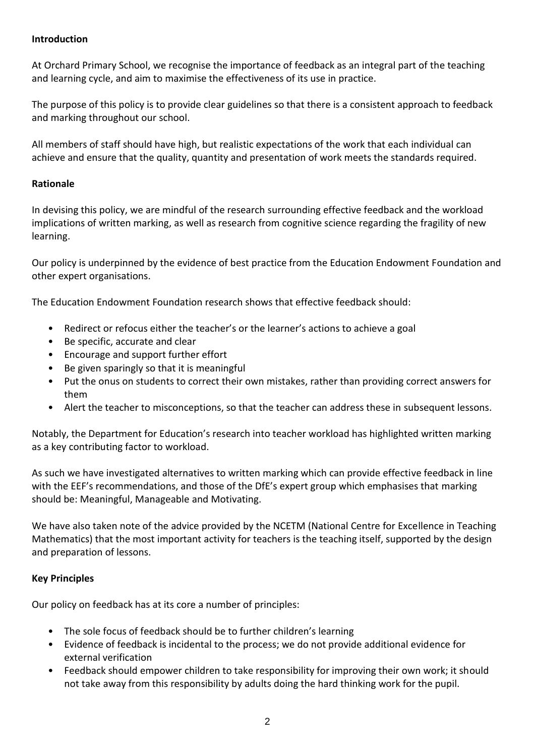#### **Introduction**

At Orchard Primary School, we recognise the importance of feedback as an integral part of the teaching and learning cycle, and aim to maximise the effectiveness of its use in practice.

The purpose of this policy is to provide clear guidelines so that there is a consistent approach to feedback and marking throughout our school.

All members of staff should have high, but realistic expectations of the work that each individual can achieve and ensure that the quality, quantity and presentation of work meets the standards required.

#### **Rationale**

In devising this policy, we are mindful of the research surrounding effective feedback and the workload implications of written marking, as well as research from cognitive science regarding the fragility of new learning.

Our policy is underpinned by the evidence of best practice from the Education Endowment Foundation and other expert organisations.

The Education Endowment Foundation research shows that effective feedback should:

- Redirect or refocus either the teacher's or the learner's actions to achieve a goal
- Be specific, accurate and clear
- Encourage and support further effort
- Be given sparingly so that it is meaningful
- Put the onus on students to correct their own mistakes, rather than providing correct answers for them
- Alert the teacher to misconceptions, so that the teacher can address these in subsequent lessons.

Notably, the Department for Education's research into teacher workload has highlighted written marking as a key contributing factor to workload.

As such we have investigated alternatives to written marking which can provide effective feedback in line with the EEF's recommendations, and those of the DfE's expert group which emphasises that marking should be: Meaningful, Manageable and Motivating.

We have also taken note of the advice provided by the NCETM (National Centre for Excellence in Teaching Mathematics) that the most important activity for teachers is the teaching itself, supported by the design and preparation of lessons.

#### **Key Principles**

Our policy on feedback has at its core a number of principles:

- The sole focus of feedback should be to further children's learning
- Evidence of feedback is incidental to the process; we do not provide additional evidence for external verification
- Feedback should empower children to take responsibility for improving their own work; it should not take away from this responsibility by adults doing the hard thinking work for the pupil.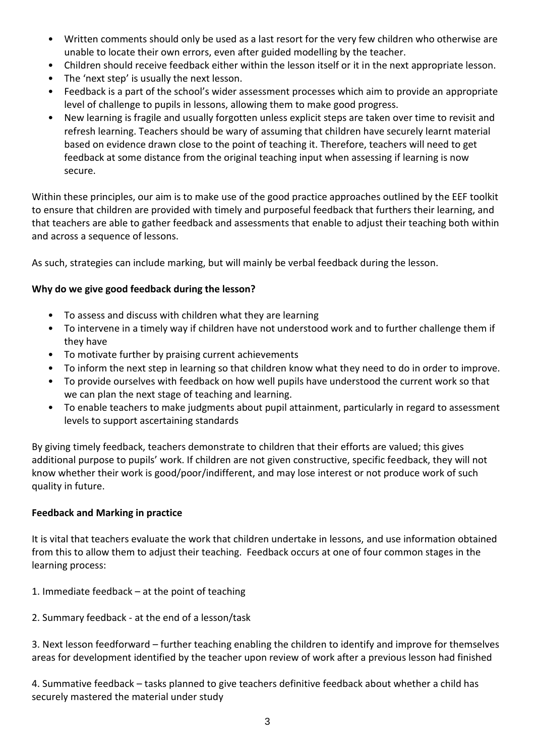- Written comments should only be used as a last resort for the very few children who otherwise are unable to locate their own errors, even after guided modelling by the teacher.
- Children should receive feedback either within the lesson itself or it in the next appropriate lesson.
- The 'next step' is usually the next lesson.
- Feedback is a part of the school's wider assessment processes which aim to provide an appropriate level of challenge to pupils in lessons, allowing them to make good progress.
- New learning is fragile and usually forgotten unless explicit steps are taken over time to revisit and refresh learning. Teachers should be wary of assuming that children have securely learnt material based on evidence drawn close to the point of teaching it. Therefore, teachers will need to get feedback at some distance from the original teaching input when assessing if learning is now secure.

Within these principles, our aim is to make use of the good practice approaches outlined by the EEF toolkit to ensure that children are provided with timely and purposeful feedback that furthers their learning, and that teachers are able to gather feedback and assessments that enable to adjust their teaching both within and across a sequence of lessons.

As such, strategies can include marking, but will mainly be verbal feedback during the lesson.

#### **Why do we give good feedback during the lesson?**

- To assess and discuss with children what they are learning
- To intervene in a timely way if children have not understood work and to further challenge them if they have
- To motivate further by praising current achievements
- To inform the next step in learning so that children know what they need to do in order to improve.
- To provide ourselves with feedback on how well pupils have understood the current work so that we can plan the next stage of teaching and learning.
- To enable teachers to make judgments about pupil attainment, particularly in regard to assessment levels to support ascertaining standards

By giving timely feedback, teachers demonstrate to children that their efforts are valued; this gives additional purpose to pupils' work. If children are not given constructive, specific feedback, they will not know whether their work is good/poor/indifferent, and may lose interest or not produce work of such quality in future.

#### **Feedback and Marking in practice**

It is vital that teachers evaluate the work that children undertake in lessons, and use information obtained from this to allow them to adjust their teaching. Feedback occurs at one of four common stages in the learning process:

- 1. Immediate feedback at the point of teaching
- 2. Summary feedback at the end of a lesson/task

3. Next lesson feedforward – further teaching enabling the children to identify and improve for themselves areas for development identified by the teacher upon review of work after a previous lesson had finished

4. Summative feedback – tasks planned to give teachers definitive feedback about whether a child has securely mastered the material under study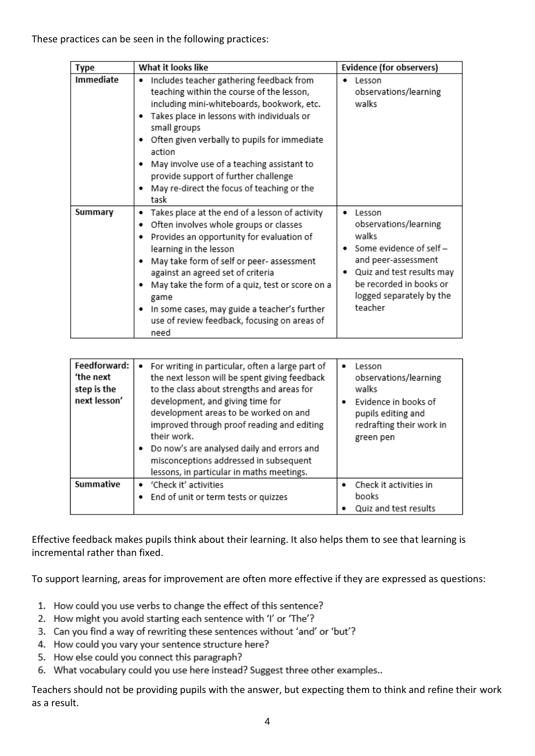| Type      | What it looks like                                                                                                                                                                                                                                                                                                                                                                                                                       | Evidence (for observers)                                                                                                                                                                       |
|-----------|------------------------------------------------------------------------------------------------------------------------------------------------------------------------------------------------------------------------------------------------------------------------------------------------------------------------------------------------------------------------------------------------------------------------------------------|------------------------------------------------------------------------------------------------------------------------------------------------------------------------------------------------|
| Immediate | Includes teacher gathering feedback from<br>٠<br>teaching within the course of the lesson,<br>including mini-whiteboards, bookwork, etc.<br>Takes place in lessons with individuals or<br>٠<br>small groups<br>Often given verbally to pupils for immediate<br>action<br>May involve use of a teaching assistant to<br>provide support of further challenge<br>May re-direct the focus of teaching or the<br>٠<br>task                   | Lesson<br>observations/learning<br>walks                                                                                                                                                       |
| Summary   | Takes place at the end of a lesson of activity<br>٠<br>Often involves whole groups or classes<br>٠<br>Provides an opportunity for evaluation of<br>٠<br>learning in the lesson<br>May take form of self or peer- assessment<br>against an agreed set of criteria<br>May take the form of a quiz, test or score on a<br>game<br>In some cases, may guide a teacher's further<br>٠<br>use of review feedback, focusing on areas of<br>need | Lesson<br>٠<br>observations/learning<br>walks<br>Some evidence of self -<br>and peer-assessment<br>Quiz and test results may<br>be recorded in books or<br>logged separately by the<br>teacher |

| Feedforward:<br>'the next<br>step is the<br>next lesson' | For writing in particular, often a large part of<br>٠<br>the next lesson will be spent giving feedback<br>to the class about strengths and areas for<br>development, and giving time for<br>development areas to be worked on and<br>improved through proof reading and editing<br>their work.<br>Do now's are analysed daily and errors and<br>misconceptions addressed in subsequent<br>lessons, in particular in maths meetings. | Lesson<br>٠<br>observations/learning<br>walks<br>Evidence in books of<br>pupils editing and<br>redrafting their work in<br>green pen |
|----------------------------------------------------------|-------------------------------------------------------------------------------------------------------------------------------------------------------------------------------------------------------------------------------------------------------------------------------------------------------------------------------------------------------------------------------------------------------------------------------------|--------------------------------------------------------------------------------------------------------------------------------------|
| Summative                                                | • 'Check it' activities<br>• End of unit or term tests or quizzes                                                                                                                                                                                                                                                                                                                                                                   | Check it activities in<br>books                                                                                                      |
|                                                          |                                                                                                                                                                                                                                                                                                                                                                                                                                     | Quiz and test results                                                                                                                |

Effective feedback makes pupils think about their learning. It also helps them to see that learning is incremental rather than fixed.

To support learning, areas for improvement are often more effective if they are expressed as questions:

- 1. How could you use verbs to change the effect of this sentence?
- 2. How might you avoid starting each sentence with 'I' or 'The'?
- 3. Can you find a way of rewriting these sentences without 'and' or 'but'?
- 4. How could you vary your sentence structure here?
- 5. How else could you connect this paragraph?
- 6. What vocabulary could you use here instead? Suggest three other examples..

Teachers should not be providing pupils with the answer, but expecting them to think and refine their work as a result.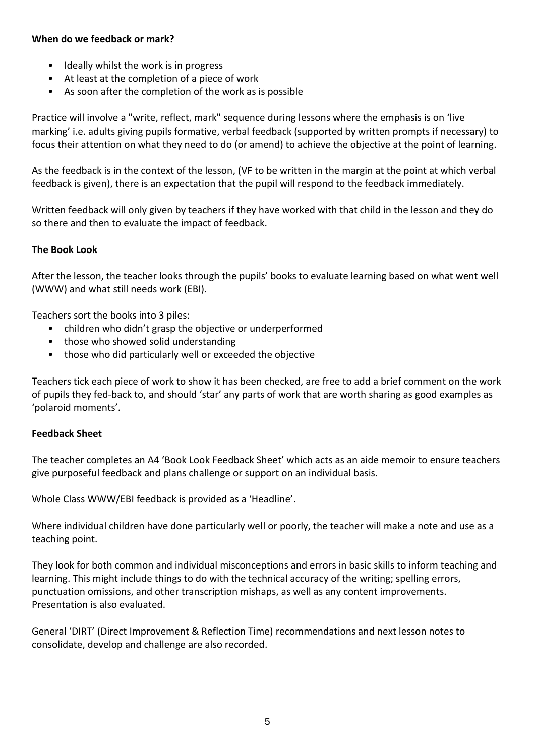#### **When do we feedback or mark?**

- Ideally whilst the work is in progress
- At least at the completion of a piece of work
- As soon after the completion of the work as is possible

Practice will involve a "write, reflect, mark" sequence during lessons where the emphasis is on 'live marking' i.e. adults giving pupils formative, verbal feedback (supported by written prompts if necessary) to focus their attention on what they need to do (or amend) to achieve the objective at the point of learning.

As the feedback is in the context of the lesson, (VF to be written in the margin at the point at which verbal feedback is given), there is an expectation that the pupil will respond to the feedback immediately.

Written feedback will only given by teachers if they have worked with that child in the lesson and they do so there and then to evaluate the impact of feedback.

## **The Book Look**

After the lesson, the teacher looks through the pupils' books to evaluate learning based on what went well (WWW) and what still needs work (EBI).

Teachers sort the books into 3 piles:

- children who didn't grasp the objective or underperformed
- those who showed solid understanding
- those who did particularly well or exceeded the objective

Teachers tick each piece of work to show it has been checked, are free to add a brief comment on the work of pupils they fed-back to, and should 'star' any parts of work that are worth sharing as good examples as 'polaroid moments'.

## **Feedback Sheet**

The teacher completes an A4 'Book Look Feedback Sheet' which acts as an aide memoir to ensure teachers give purposeful feedback and plans challenge or support on an individual basis.

Whole Class WWW/EBI feedback is provided as a 'Headline'.

Where individual children have done particularly well or poorly, the teacher will make a note and use as a teaching point.

They look for both common and individual misconceptions and errors in basic skills to inform teaching and learning. This might include things to do with the technical accuracy of the writing; spelling errors, punctuation omissions, and other transcription mishaps, as well as any content improvements. Presentation is also evaluated.

General 'DIRT' (Direct Improvement & Reflection Time) recommendations and next lesson notes to consolidate, develop and challenge are also recorded.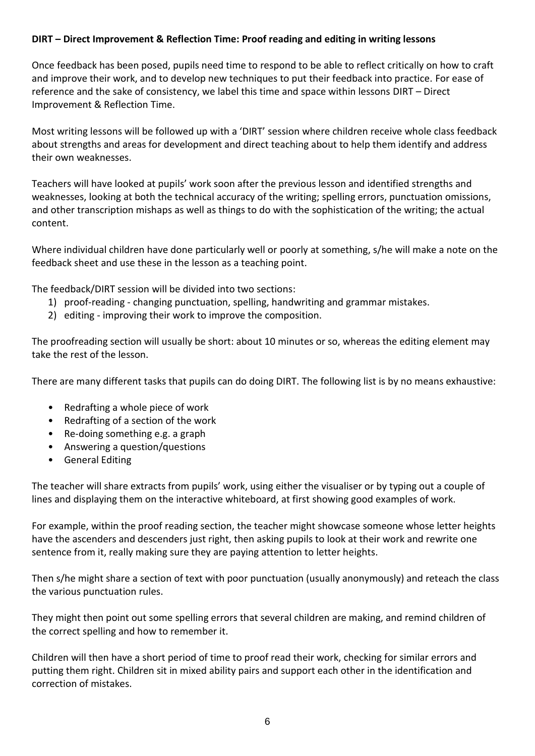## **DIRT – Direct Improvement & Reflection Time: Proof reading and editing in writing lessons**

Once feedback has been posed, pupils need time to respond to be able to reflect critically on how to craft and improve their work, and to develop new techniques to put their feedback into practice. For ease of reference and the sake of consistency, we label this time and space within lessons DIRT – Direct Improvement & Reflection Time.

Most writing lessons will be followed up with a 'DIRT' session where children receive whole class feedback about strengths and areas for development and direct teaching about to help them identify and address their own weaknesses.

Teachers will have looked at pupils' work soon after the previous lesson and identified strengths and weaknesses, looking at both the technical accuracy of the writing; spelling errors, punctuation omissions, and other transcription mishaps as well as things to do with the sophistication of the writing; the actual content.

Where individual children have done particularly well or poorly at something, s/he will make a note on the feedback sheet and use these in the lesson as a teaching point.

The feedback/DIRT session will be divided into two sections:

- 1) proof-reading changing punctuation, spelling, handwriting and grammar mistakes.
- 2) editing improving their work to improve the composition.

The proofreading section will usually be short: about 10 minutes or so, whereas the editing element may take the rest of the lesson.

There are many different tasks that pupils can do doing DIRT. The following list is by no means exhaustive:

- Redrafting a whole piece of work
- Redrafting of a section of the work
- Re-doing something e.g. a graph
- Answering a question/questions
- General Editing

The teacher will share extracts from pupils' work, using either the visualiser or by typing out a couple of lines and displaying them on the interactive whiteboard, at first showing good examples of work.

For example, within the proof reading section, the teacher might showcase someone whose letter heights have the ascenders and descenders just right, then asking pupils to look at their work and rewrite one sentence from it, really making sure they are paying attention to letter heights.

Then s/he might share a section of text with poor punctuation (usually anonymously) and reteach the class the various punctuation rules.

They might then point out some spelling errors that several children are making, and remind children of the correct spelling and how to remember it.

Children will then have a short period of time to proof read their work, checking for similar errors and putting them right. Children sit in mixed ability pairs and support each other in the identification and correction of mistakes.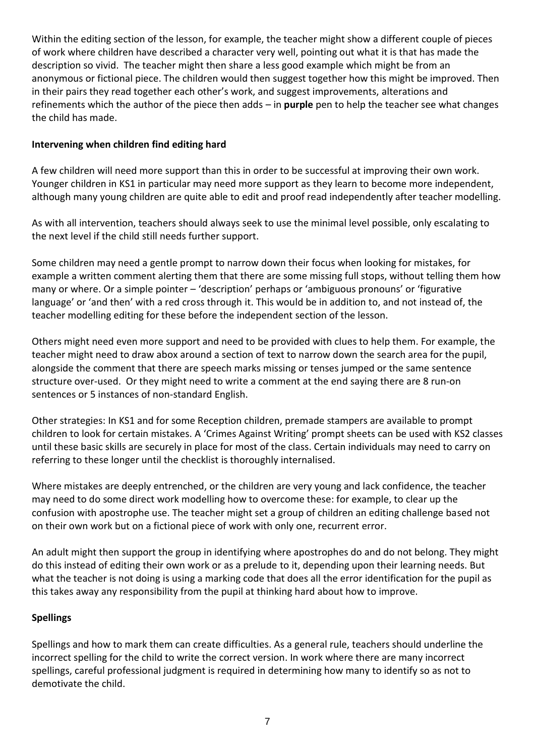Within the editing section of the lesson, for example, the teacher might show a different couple of pieces of work where children have described a character very well, pointing out what it is that has made the description so vivid. The teacher might then share a less good example which might be from an anonymous or fictional piece. The children would then suggest together how this might be improved. Then in their pairs they read together each other's work, and suggest improvements, alterations and refinements which the author of the piece then adds – in **purple** pen to help the teacher see what changes the child has made.

#### **Intervening when children find editing hard**

A few children will need more support than this in order to be successful at improving their own work. Younger children in KS1 in particular may need more support as they learn to become more independent, although many young children are quite able to edit and proof read independently after teacher modelling.

As with all intervention, teachers should always seek to use the minimal level possible, only escalating to the next level if the child still needs further support.

Some children may need a gentle prompt to narrow down their focus when looking for mistakes, for example a written comment alerting them that there are some missing full stops, without telling them how many or where. Or a simple pointer – 'description' perhaps or 'ambiguous pronouns' or 'figurative language' or 'and then' with a red cross through it. This would be in addition to, and not instead of, the teacher modelling editing for these before the independent section of the lesson.

Others might need even more support and need to be provided with clues to help them. For example, the teacher might need to draw abox around a section of text to narrow down the search area for the pupil, alongside the comment that there are speech marks missing or tenses jumped or the same sentence structure over-used. Or they might need to write a comment at the end saying there are 8 run-on sentences or 5 instances of non-standard English.

Other strategies: In KS1 and for some Reception children, premade stampers are available to prompt children to look for certain mistakes. A 'Crimes Against Writing' prompt sheets can be used with KS2 classes until these basic skills are securely in place for most of the class. Certain individuals may need to carry on referring to these longer until the checklist is thoroughly internalised.

Where mistakes are deeply entrenched, or the children are very young and lack confidence, the teacher may need to do some direct work modelling how to overcome these: for example, to clear up the confusion with apostrophe use. The teacher might set a group of children an editing challenge based not on their own work but on a fictional piece of work with only one, recurrent error.

An adult might then support the group in identifying where apostrophes do and do not belong. They might do this instead of editing their own work or as a prelude to it, depending upon their learning needs. But what the teacher is not doing is using a marking code that does all the error identification for the pupil as this takes away any responsibility from the pupil at thinking hard about how to improve.

## **Spellings**

Spellings and how to mark them can create difficulties. As a general rule, teachers should underline the incorrect spelling for the child to write the correct version. In work where there are many incorrect spellings, careful professional judgment is required in determining how many to identify so as not to demotivate the child.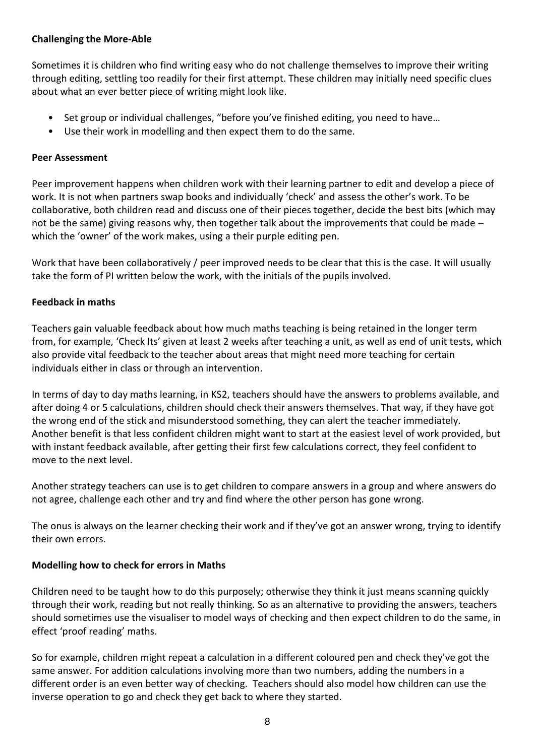## **Challenging the More-Able**

Sometimes it is children who find writing easy who do not challenge themselves to improve their writing through editing, settling too readily for their first attempt. These children may initially need specific clues about what an ever better piece of writing might look like.

- Set group or individual challenges, "before you've finished editing, you need to have…
- Use their work in modelling and then expect them to do the same.

#### **Peer Assessment**

Peer improvement happens when children work with their learning partner to edit and develop a piece of work. It is not when partners swap books and individually 'check' and assess the other's work. To be collaborative, both children read and discuss one of their pieces together, decide the best bits (which may not be the same) giving reasons why, then together talk about the improvements that could be made – which the 'owner' of the work makes, using a their purple editing pen.

Work that have been collaboratively / peer improved needs to be clear that this is the case. It will usually take the form of PI written below the work, with the initials of the pupils involved.

#### **Feedback in maths**

Teachers gain valuable feedback about how much maths teaching is being retained in the longer term from, for example, 'Check Its' given at least 2 weeks after teaching a unit, as well as end of unit tests, which also provide vital feedback to the teacher about areas that might need more teaching for certain individuals either in class or through an intervention.

In terms of day to day maths learning, in KS2, teachers should have the answers to problems available, and after doing 4 or 5 calculations, children should check their answers themselves. That way, if they have got the wrong end of the stick and misunderstood something, they can alert the teacher immediately. Another benefit is that less confident children might want to start at the easiest level of work provided, but with instant feedback available, after getting their first few calculations correct, they feel confident to move to the next level.

Another strategy teachers can use is to get children to compare answers in a group and where answers do not agree, challenge each other and try and find where the other person has gone wrong.

The onus is always on the learner checking their work and if they've got an answer wrong, trying to identify their own errors.

## **Modelling how to check for errors in Maths**

Children need to be taught how to do this purposely; otherwise they think it just means scanning quickly through their work, reading but not really thinking. So as an alternative to providing the answers, teachers should sometimes use the visualiser to model ways of checking and then expect children to do the same, in effect 'proof reading' maths.

So for example, children might repeat a calculation in a different coloured pen and check they've got the same answer. For addition calculations involving more than two numbers, adding the numbers in a different order is an even better way of checking. Teachers should also model how children can use the inverse operation to go and check they get back to where they started.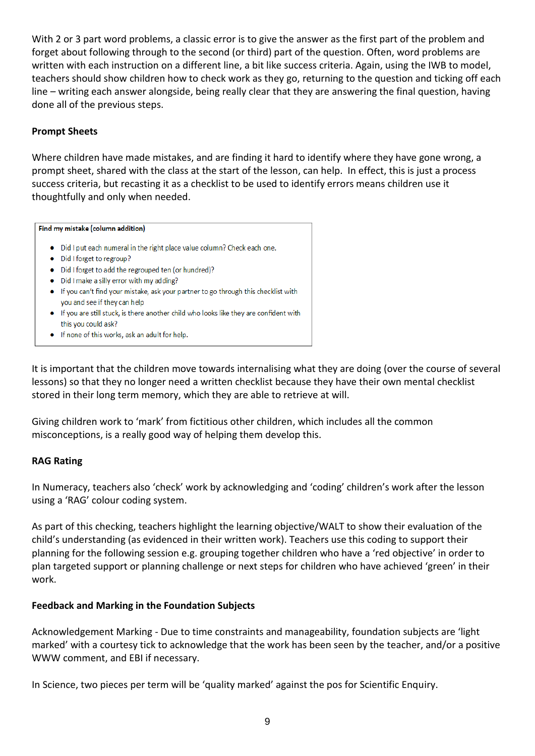With 2 or 3 part word problems, a classic error is to give the answer as the first part of the problem and forget about following through to the second (or third) part of the question. Often, word problems are written with each instruction on a different line, a bit like success criteria. Again, using the IWB to model, teachers should show children how to check work as they go, returning to the question and ticking off each line – writing each answer alongside, being really clear that they are answering the final question, having done all of the previous steps.

#### **Prompt Sheets**

Where children have made mistakes, and are finding it hard to identify where they have gone wrong, a prompt sheet, shared with the class at the start of the lesson, can help. In effect, this is just a process success criteria, but recasting it as a checklist to be used to identify errors means children use it thoughtfully and only when needed.

#### Find my mistake (column addition)

- Did I put each numeral in the right place value column? Check each one.
- Did I forget to regroup?
- Did I forget to add the regrouped ten (or hundred)?
- Did I make a silly error with my adding?
- If you can't find your mistake, ask your partner to go through this checklist with you and see if they can help
- If you are still stuck, is there another child who looks like they are confident with this you could ask?
- If none of this works, ask an adult for help.

It is important that the children move towards internalising what they are doing (over the course of several lessons) so that they no longer need a written checklist because they have their own mental checklist stored in their long term memory, which they are able to retrieve at will.

Giving children work to 'mark' from fictitious other children, which includes all the common misconceptions, is a really good way of helping them develop this.

## **RAG Rating**

In Numeracy, teachers also 'check' work by acknowledging and 'coding' children's work after the lesson using a 'RAG' colour coding system.

As part of this checking, teachers highlight the learning objective/WALT to show their evaluation of the child's understanding (as evidenced in their written work). Teachers use this coding to support their planning for the following session e.g. grouping together children who have a 'red objective' in order to plan targeted support or planning challenge or next steps for children who have achieved 'green' in their work.

## **Feedback and Marking in the Foundation Subjects**

Acknowledgement Marking - Due to time constraints and manageability, foundation subjects are 'light marked' with a courtesy tick to acknowledge that the work has been seen by the teacher, and/or a positive WWW comment, and EBI if necessary.

In Science, two pieces per term will be 'quality marked' against the pos for Scientific Enquiry.